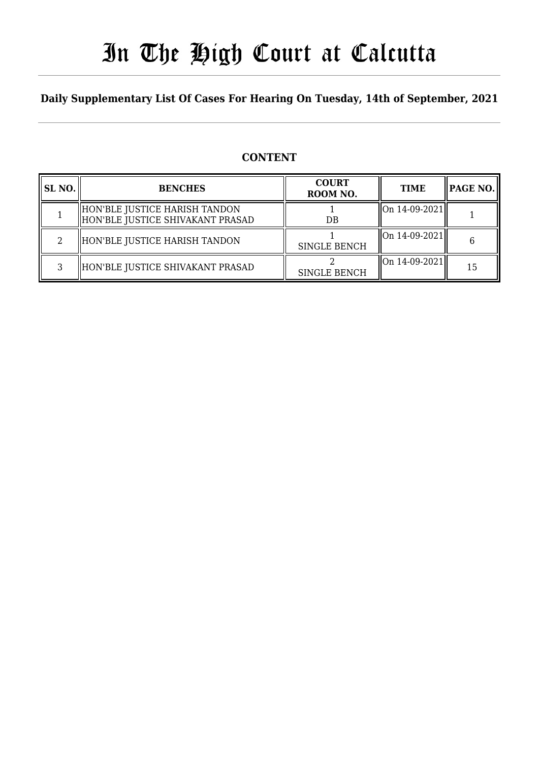# In The High Court at Calcutta

# **Daily Supplementary List Of Cases For Hearing On Tuesday, 14th of September, 2021**

# **CONTENT**

| <b>SL NO.</b> | <b>BENCHES</b>                                                    | <b>COURT</b><br>ROOM NO. | <b>TIME</b>        | PAGE NO. |
|---------------|-------------------------------------------------------------------|--------------------------|--------------------|----------|
|               | HON'BLE JUSTICE HARISH TANDON<br>HON'BLE JUSTICE SHIVAKANT PRASAD | DB                       | On 14-09-2021      |          |
|               | HON'BLE JUSTICE HARISH TANDON                                     | <b>SINGLE BENCH</b>      | On 14-09-2021      |          |
| ર             | HON'BLE JUSTICE SHIVAKANT PRASAD                                  | <b>SINGLE BENCH</b>      | $\ $ On 14-09-2021 | 15       |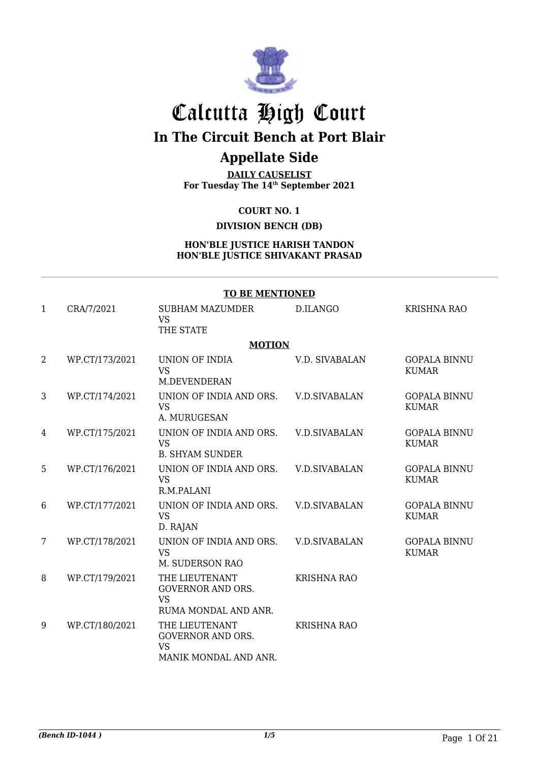

# Calcutta High Court

# **In The Circuit Bench at Port Blair**

# **Appellate Side**

**DAILY CAUSELIST For Tuesday The 14th September 2021**

**COURT NO. 1**

**DIVISION BENCH (DB)**

#### **HON'BLE JUSTICE HARISH TANDON HON'BLE JUSTICE SHIVAKANT PRASAD**

|                | <b>TO BE MENTIONED</b> |                                                                                  |                      |                                     |  |
|----------------|------------------------|----------------------------------------------------------------------------------|----------------------|-------------------------------------|--|
| 1              | CRA/7/2021             | <b>SUBHAM MAZUMDER</b><br><b>VS</b><br>THE STATE                                 | D.ILANGO             | <b>KRISHNA RAO</b>                  |  |
|                |                        | <b>MOTION</b>                                                                    |                      |                                     |  |
| $\overline{2}$ | WP.CT/173/2021         | UNION OF INDIA<br><b>VS</b><br>M.DEVENDERAN                                      | V.D. SIVABALAN       | <b>GOPALA BINNU</b><br><b>KUMAR</b> |  |
| 3              | WP.CT/174/2021         | UNION OF INDIA AND ORS.<br><b>VS</b><br>A. MURUGESAN                             | <b>V.D.SIVABALAN</b> | <b>GOPALA BINNU</b><br><b>KUMAR</b> |  |
| 4              | WP.CT/175/2021         | UNION OF INDIA AND ORS.<br><b>VS</b><br><b>B. SHYAM SUNDER</b>                   | <b>V.D.SIVABALAN</b> | <b>GOPALA BINNU</b><br><b>KUMAR</b> |  |
| 5              | WP.CT/176/2021         | UNION OF INDIA AND ORS.<br><b>VS</b><br>R.M.PALANI                               | <b>V.D.SIVABALAN</b> | <b>GOPALA BINNU</b><br><b>KUMAR</b> |  |
| 6              | WP.CT/177/2021         | UNION OF INDIA AND ORS.<br><b>VS</b><br>D. RAJAN                                 | <b>V.D.SIVABALAN</b> | <b>GOPALA BINNU</b><br><b>KUMAR</b> |  |
| $7\phantom{.}$ | WP.CT/178/2021         | UNION OF INDIA AND ORS.<br><b>VS</b><br>M. SUDERSON RAO                          | <b>V.D.SIVABALAN</b> | <b>GOPALA BINNU</b><br><b>KUMAR</b> |  |
| 8              | WP.CT/179/2021         | THE LIEUTENANT<br><b>GOVERNOR AND ORS.</b><br><b>VS</b><br>RUMA MONDAL AND ANR.  | <b>KRISHNA RAO</b>   |                                     |  |
| 9              | WP.CT/180/2021         | THE LIEUTENANT<br><b>GOVERNOR AND ORS.</b><br><b>VS</b><br>MANIK MONDAL AND ANR. | <b>KRISHNA RAO</b>   |                                     |  |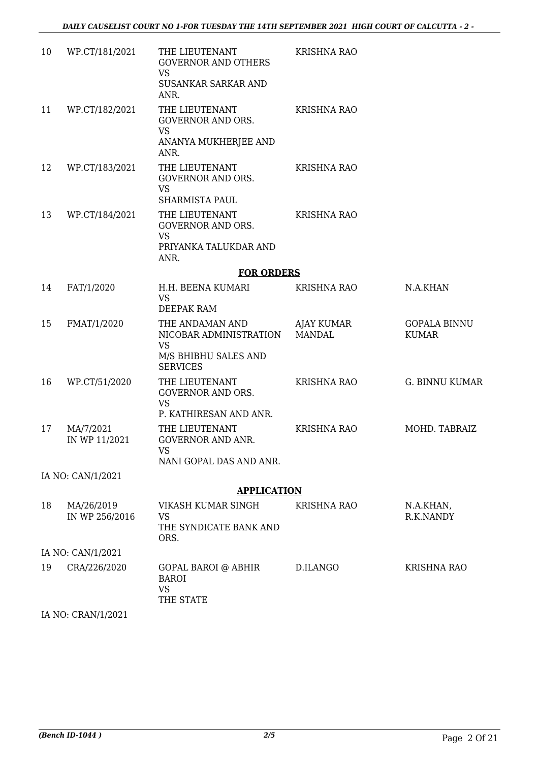| 10 | WP.CT/181/2021               | THE LIEUTENANT<br><b>GOVERNOR AND OTHERS</b><br><b>VS</b>                                         | <b>KRISHNA RAO</b>          |                                     |
|----|------------------------------|---------------------------------------------------------------------------------------------------|-----------------------------|-------------------------------------|
|    |                              | SUSANKAR SARKAR AND<br>ANR.                                                                       |                             |                                     |
| 11 | WP.CT/182/2021               | THE LIEUTENANT<br><b>GOVERNOR AND ORS.</b><br><b>VS</b><br>ANANYA MUKHERJEE AND<br>ANR.           | <b>KRISHNA RAO</b>          |                                     |
| 12 | WP.CT/183/2021               | THE LIEUTENANT<br>GOVERNOR AND ORS.<br><b>VS</b><br>SHARMISTA PAUL                                | <b>KRISHNA RAO</b>          |                                     |
| 13 | WP.CT/184/2021               | THE LIEUTENANT<br><b>GOVERNOR AND ORS.</b><br><b>VS</b><br>PRIYANKA TALUKDAR AND<br>ANR.          | <b>KRISHNA RAO</b>          |                                     |
|    |                              | <b>FOR ORDERS</b>                                                                                 |                             |                                     |
| 14 | FAT/1/2020                   | H.H. BEENA KUMARI<br><b>VS</b><br>DEEPAK RAM                                                      | <b>KRISHNA RAO</b>          | N.A.KHAN                            |
| 15 | FMAT/1/2020                  | THE ANDAMAN AND<br>NICOBAR ADMINISTRATION<br><b>VS</b><br>M/S BHIBHU SALES AND<br><b>SERVICES</b> | AJAY KUMAR<br><b>MANDAL</b> | <b>GOPALA BINNU</b><br><b>KUMAR</b> |
| 16 | WP.CT/51/2020                | THE LIEUTENANT<br><b>GOVERNOR AND ORS.</b><br><b>VS</b><br>P. KATHIRESAN AND ANR.                 | KRISHNA RAO                 | <b>G. BINNU KUMAR</b>               |
| 17 | MA/7/2021<br>IN WP 11/2021   | THE LIEUTENANT<br><b>GOVERNOR AND ANR.</b><br><b>VS</b><br>NANI GOPAL DAS AND ANR.                | <b>KRISHNA RAO</b>          | MOHD. TABRAIZ                       |
|    | IA NO: CAN/1/2021            |                                                                                                   |                             |                                     |
|    |                              | <b>APPLICATION</b>                                                                                |                             |                                     |
| 18 | MA/26/2019<br>IN WP 256/2016 | VIKASH KUMAR SINGH<br><b>VS</b><br>THE SYNDICATE BANK AND<br>ORS.                                 | <b>KRISHNA RAO</b>          | N.A.KHAN,<br>R.K.NANDY              |
|    | IA NO: CAN/1/2021            |                                                                                                   |                             |                                     |
| 19 | CRA/226/2020                 | GOPAL BAROI @ ABHIR<br><b>BAROI</b><br><b>VS</b><br>THE STATE                                     | D.ILANGO                    | <b>KRISHNA RAO</b>                  |
|    | IA NO: CRAN/1/2021           |                                                                                                   |                             |                                     |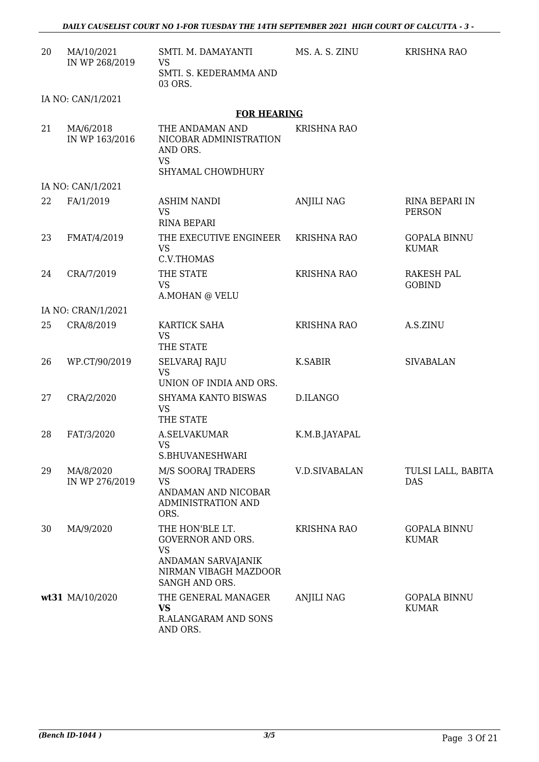| 20 | MA/10/2021<br>IN WP 268/2019 | SMTI. M. DAMAYANTI<br><b>VS</b><br>SMTI. S. KEDERAMMA AND<br>03 ORS.                                                      | MS. A. S. ZINU     | <b>KRISHNA RAO</b>                  |
|----|------------------------------|---------------------------------------------------------------------------------------------------------------------------|--------------------|-------------------------------------|
|    | IA NO: CAN/1/2021            |                                                                                                                           |                    |                                     |
|    |                              | <b>FOR HEARING</b>                                                                                                        |                    |                                     |
| 21 | MA/6/2018<br>IN WP 163/2016  | THE ANDAMAN AND<br>NICOBAR ADMINISTRATION<br>AND ORS.<br><b>VS</b><br>SHYAMAL CHOWDHURY                                   | <b>KRISHNA RAO</b> |                                     |
|    | IA NO: CAN/1/2021            |                                                                                                                           |                    |                                     |
| 22 | FA/1/2019                    | <b>ASHIM NANDI</b><br><b>VS</b><br><b>RINA BEPARI</b>                                                                     | <b>ANJILI NAG</b>  | RINA BEPARI IN<br><b>PERSON</b>     |
| 23 | FMAT/4/2019                  | THE EXECUTIVE ENGINEER<br><b>VS</b><br>C.V.THOMAS                                                                         | <b>KRISHNA RAO</b> | <b>GOPALA BINNU</b><br><b>KUMAR</b> |
| 24 | CRA/7/2019                   | THE STATE<br><b>VS</b><br>A.MOHAN @ VELU                                                                                  | <b>KRISHNA RAO</b> | <b>RAKESH PAL</b><br><b>GOBIND</b>  |
|    | IA NO: CRAN/1/2021           |                                                                                                                           |                    |                                     |
| 25 | CRA/8/2019                   | KARTICK SAHA<br><b>VS</b><br>THE STATE                                                                                    | <b>KRISHNA RAO</b> | A.S.ZINU                            |
| 26 | WP.CT/90/2019                | <b>SELVARAJ RAJU</b><br><b>VS</b><br>UNION OF INDIA AND ORS.                                                              | K.SABIR            | <b>SIVABALAN</b>                    |
| 27 | CRA/2/2020                   | SHYAMA KANTO BISWAS<br><b>VS</b><br>THE STATE                                                                             | D.ILANGO           |                                     |
| 28 | FAT/3/2020                   | <b>A.SELVAKUMAR</b><br><b>VS</b><br>S.BHUVANESHWARI                                                                       | K.M.B.JAYAPAL      |                                     |
| 29 | MA/8/2020<br>IN WP 276/2019  | <b>M/S SOORAJ TRADERS</b><br><b>VS</b><br>ANDAMAN AND NICOBAR<br><b>ADMINISTRATION AND</b><br>ORS.                        | V.D.SIVABALAN      | TULSI LALL, BABITA<br><b>DAS</b>    |
| 30 | MA/9/2020                    | THE HON'BLE LT.<br><b>GOVERNOR AND ORS.</b><br><b>VS</b><br>ANDAMAN SARVAJANIK<br>NIRMAN VIBAGH MAZDOOR<br>SANGH AND ORS. | <b>KRISHNA RAO</b> | <b>GOPALA BINNU</b><br><b>KUMAR</b> |
|    | wt31 MA/10/2020              | THE GENERAL MANAGER<br><b>VS</b><br>R.ALANGARAM AND SONS<br>AND ORS.                                                      | <b>ANJILI NAG</b>  | <b>GOPALA BINNU</b><br><b>KUMAR</b> |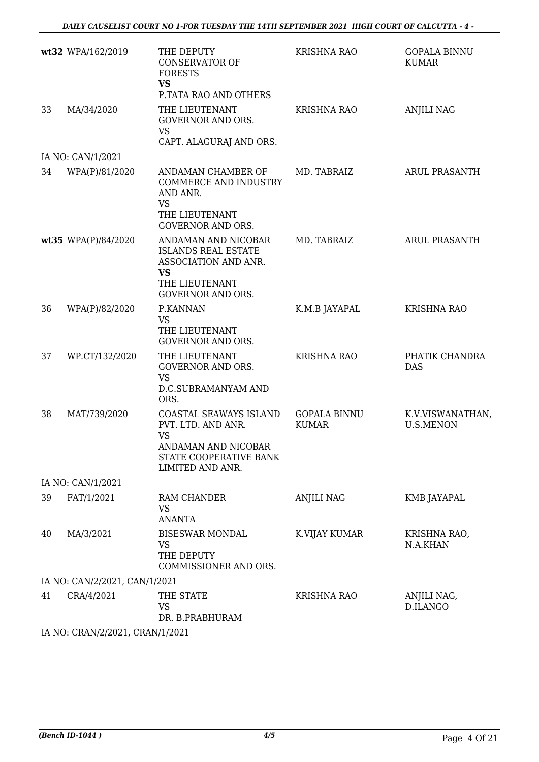|                | THE DEPUTY<br><b>CONSERVATOR OF</b><br><b>FORESTS</b><br><b>VS</b>                                                 | <b>KRISHNA RAO</b>                                                                                                                                                 | <b>GOPALA BINNU</b><br><b>KUMAR</b>  |
|----------------|--------------------------------------------------------------------------------------------------------------------|--------------------------------------------------------------------------------------------------------------------------------------------------------------------|--------------------------------------|
| MA/34/2020     | THE LIEUTENANT<br><b>GOVERNOR AND ORS.</b><br><b>VS</b>                                                            | <b>KRISHNA RAO</b>                                                                                                                                                 | <b>ANJILI NAG</b>                    |
|                |                                                                                                                    |                                                                                                                                                                    |                                      |
| WPA(P)/81/2020 | ANDAMAN CHAMBER OF<br><b>COMMERCE AND INDUSTRY</b><br>AND ANR.<br>VS<br>THE LIEUTENANT<br><b>GOVERNOR AND ORS.</b> | MD. TABRAIZ                                                                                                                                                        | <b>ARUL PRASANTH</b>                 |
|                | ANDAMAN AND NICOBAR<br><b>ISLANDS REAL ESTATE</b><br>ASSOCIATION AND ANR.<br><b>VS</b><br>THE LIEUTENANT           | MD. TABRAIZ                                                                                                                                                        | <b>ARUL PRASANTH</b>                 |
| WPA(P)/82/2020 | P.KANNAN<br><b>VS</b><br>THE LIEUTENANT<br><b>GOVERNOR AND ORS.</b>                                                | K.M.B JAYAPAL                                                                                                                                                      | <b>KRISHNA RAO</b>                   |
| WP.CT/132/2020 | THE LIEUTENANT<br><b>GOVERNOR AND ORS.</b><br><b>VS</b><br>D.C.SUBRAMANYAM AND<br>ORS.                             | <b>KRISHNA RAO</b>                                                                                                                                                 | PHATIK CHANDRA<br><b>DAS</b>         |
| MAT/739/2020   | COASTAL SEAWAYS ISLAND<br>PVT. LTD. AND ANR.<br><b>VS</b><br>ANDAMAN AND NICOBAR<br>STATE COOPERATIVE BANK         | <b>GOPALA BINNU</b><br><b>KUMAR</b>                                                                                                                                | K.V.VISWANATHAN,<br><b>U.S.MENON</b> |
|                |                                                                                                                    |                                                                                                                                                                    |                                      |
| FAT/1/2021     | RAM CHANDER<br><b>VS</b><br><b>ANANTA</b>                                                                          | ANJILI NAG                                                                                                                                                         | KMB JAYAPAL                          |
| MA/3/2021      | <b>BISESWAR MONDAL</b><br>VS<br>THE DEPUTY<br>COMMISSIONER AND ORS.                                                | K.VIJAY KUMAR                                                                                                                                                      | KRISHNA RAO,<br>N.A.KHAN             |
|                |                                                                                                                    |                                                                                                                                                                    |                                      |
| CRA/4/2021     | THE STATE<br><b>VS</b><br>DR. B.PRABHURAM                                                                          | <b>KRISHNA RAO</b>                                                                                                                                                 | ANJILI NAG,<br>D.ILANGO              |
|                | wt32 WPA/162/2019<br>IA NO: CAN/1/2021<br>wt35 WPA(P)/84/2020<br>IA NO: CAN/1/2021                                 | P.TATA RAO AND OTHERS<br>CAPT. ALAGURAJ AND ORS.<br><b>GOVERNOR AND ORS.</b><br>LIMITED AND ANR.<br>IA NO: CAN/2/2021, CAN/1/2021<br>IA NO CRANIZIZO 1 CRANI1 2001 |                                      |

IA NO: CRAN/2/2021, CRAN/1/2021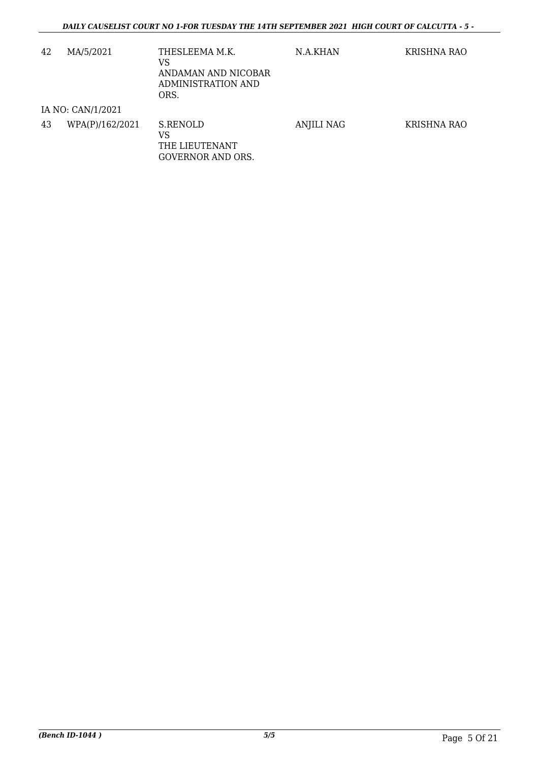| 42 | MA/5/2021         | THESLEEMA M.K.<br>VS<br>ANDAMAN AND NICOBAR<br>ADMINISTRATION AND<br>ORS. | N.A.KHAN   | KRISHNA RAO |
|----|-------------------|---------------------------------------------------------------------------|------------|-------------|
|    | IA NO: CAN/1/2021 |                                                                           |            |             |
| 43 | WPA(P)/162/2021   | S.RENOLD<br>VS<br>THE LIEUTENANT<br><b>GOVERNOR AND ORS.</b>              | ANJILI NAG | KRISHNA RAO |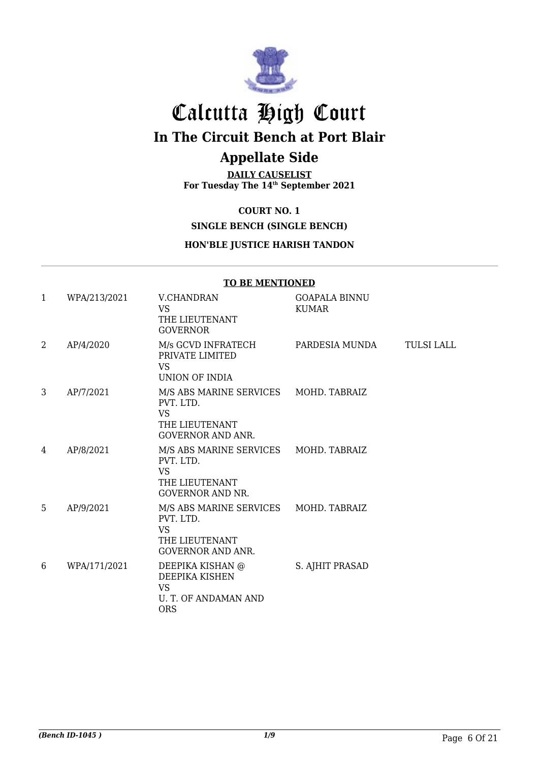

# Calcutta High Court **In The Circuit Bench at Port Blair**

# **Appellate Side**

**DAILY CAUSELIST For Tuesday The 14th September 2021**

## **COURT NO. 1**

# **SINGLE BENCH (SINGLE BENCH)**

### **HON'BLE JUSTICE HARISH TANDON**

|              |              | TO DE FIERTIORIED                                                                                             |                                      |                   |
|--------------|--------------|---------------------------------------------------------------------------------------------------------------|--------------------------------------|-------------------|
| $\mathbf{1}$ | WPA/213/2021 | V.CHANDRAN<br><b>VS</b><br>THE LIEUTENANT<br><b>GOVERNOR</b>                                                  | <b>GOAPALA BINNU</b><br><b>KUMAR</b> |                   |
| 2            | AP/4/2020    | M/s GCVD INFRATECH<br>PRIVATE LIMITED<br><b>VS</b><br><b>UNION OF INDIA</b>                                   | PARDESIA MUNDA                       | <b>TULSI LALL</b> |
| 3            | AP/7/2021    | M/S ABS MARINE SERVICES MOHD. TABRAIZ<br>PVT LTD.<br><b>VS</b><br>THE LIEUTENANT<br><b>GOVERNOR AND ANR.</b>  |                                      |                   |
| 4            | AP/8/2021    | M/S ABS MARINE SERVICES<br>PVT. LTD.<br><b>VS</b><br>THE LIEUTENANT<br><b>GOVERNOR AND NR.</b>                | MOHD. TABRAIZ                        |                   |
| 5            | AP/9/2021    | M/S ABS MARINE SERVICES MOHD. TABRAIZ<br>PVT. LTD.<br><b>VS</b><br>THE LIEUTENANT<br><b>GOVERNOR AND ANR.</b> |                                      |                   |
| 6            | WPA/171/2021 | DEEPIKA KISHAN @<br>DEEPIKA KISHEN<br><b>VS</b><br>U. T. OF ANDAMAN AND<br><b>ORS</b>                         | S. AJHIT PRASAD                      |                   |

# **TO BE MENTIONED**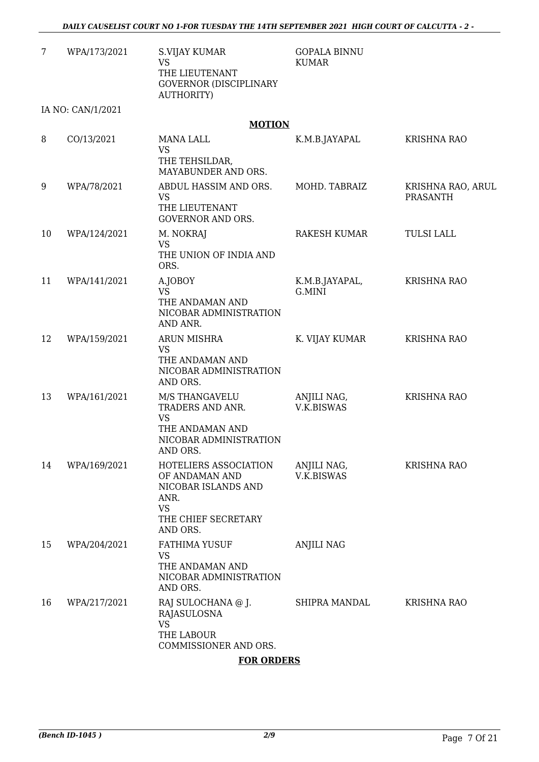| 7  | WPA/173/2021      | S.VIJAY KUMAR<br><b>VS</b><br>THE LIEUTENANT<br><b>GOVERNOR (DISCIPLINARY</b><br>AUTHORITY)                            | <b>GOPALA BINNU</b><br><b>KUMAR</b> |                                      |
|----|-------------------|------------------------------------------------------------------------------------------------------------------------|-------------------------------------|--------------------------------------|
|    | IA NO: CAN/1/2021 |                                                                                                                        |                                     |                                      |
|    |                   | <b>MOTION</b>                                                                                                          |                                     |                                      |
| 8  | CO/13/2021        | <b>MANA LALL</b><br><b>VS</b><br>THE TEHSILDAR,<br>MAYABUNDER AND ORS.                                                 | K.M.B.JAYAPAL                       | <b>KRISHNA RAO</b>                   |
| 9  | WPA/78/2021       | ABDUL HASSIM AND ORS.<br><b>VS</b><br>THE LIEUTENANT<br><b>GOVERNOR AND ORS.</b>                                       | MOHD. TABRAIZ                       | KRISHNA RAO, ARUL<br><b>PRASANTH</b> |
| 10 | WPA/124/2021      | M. NOKRAJ<br><b>VS</b><br>THE UNION OF INDIA AND<br>ORS.                                                               | RAKESH KUMAR                        | <b>TULSI LALL</b>                    |
| 11 | WPA/141/2021      | A.JOBOY<br><b>VS</b><br>THE ANDAMAN AND<br>NICOBAR ADMINISTRATION<br>AND ANR.                                          | K.M.B.JAYAPAL,<br>G.MINI            | <b>KRISHNA RAO</b>                   |
| 12 | WPA/159/2021      | <b>ARUN MISHRA</b><br><b>VS</b><br>THE ANDAMAN AND<br>NICOBAR ADMINISTRATION<br>AND ORS.                               | K. VIJAY KUMAR                      | KRISHNA RAO                          |
| 13 | WPA/161/2021      | M/S THANGAVELU<br>TRADERS AND ANR.<br><b>VS</b><br>THE ANDAMAN AND<br>NICOBAR ADMINISTRATION<br>AND ORS.               | ANJILI NAG,<br>V.K.BISWAS           | <b>KRISHNA RAO</b>                   |
| 14 | WPA/169/2021      | HOTELIERS ASSOCIATION<br>OF ANDAMAN AND<br>NICOBAR ISLANDS AND<br>ANR.<br><b>VS</b><br>THE CHIEF SECRETARY<br>AND ORS. | ANJILI NAG,<br><b>V.K.BISWAS</b>    | <b>KRISHNA RAO</b>                   |
| 15 | WPA/204/2021      | <b>FATHIMA YUSUF</b><br><b>VS</b><br>THE ANDAMAN AND<br>NICOBAR ADMINISTRATION<br>AND ORS.                             | <b>ANJILI NAG</b>                   |                                      |
| 16 | WPA/217/2021      | RAJ SULOCHANA @ J.<br>RAJASULOSNA<br><b>VS</b><br>THE LABOUR<br>COMMISSIONER AND ORS.                                  | SHIPRA MANDAL                       | <b>KRISHNA RAO</b>                   |

#### **FOR ORDERS**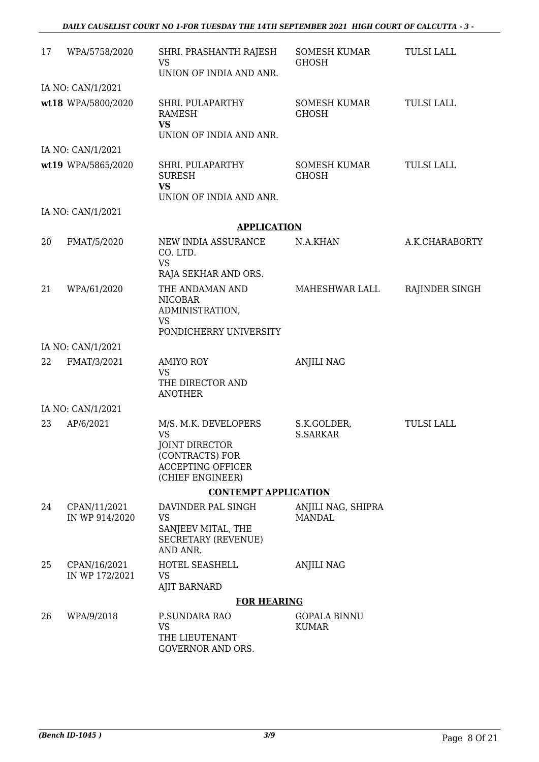| 17 | WPA/5758/2020                  | SHRI. PRASHANTH RAJESH<br><b>VS</b><br>UNION OF INDIA AND ANR.                                                         | SOMESH KUMAR<br><b>GHOSH</b>        | <b>TULSI LALL</b> |
|----|--------------------------------|------------------------------------------------------------------------------------------------------------------------|-------------------------------------|-------------------|
|    | IA NO: CAN/1/2021              |                                                                                                                        |                                     |                   |
|    | wt18 WPA/5800/2020             | SHRI. PULAPARTHY<br>RAMESH<br><b>VS</b><br>UNION OF INDIA AND ANR.                                                     | SOMESH KUMAR<br><b>GHOSH</b>        | <b>TULSI LALL</b> |
|    | IA NO: CAN/1/2021              |                                                                                                                        |                                     |                   |
|    | wt19 WPA/5865/2020             | SHRI. PULAPARTHY<br><b>SURESH</b><br><b>VS</b><br>UNION OF INDIA AND ANR.                                              | SOMESH KUMAR<br><b>GHOSH</b>        | <b>TULSI LALL</b> |
|    | IA NO: CAN/1/2021              |                                                                                                                        |                                     |                   |
|    |                                | <b>APPLICATION</b>                                                                                                     |                                     |                   |
| 20 | FMAT/5/2020                    | NEW INDIA ASSURANCE<br>CO. LTD.<br><b>VS</b><br>RAJA SEKHAR AND ORS.                                                   | N.A.KHAN                            | A.K.CHARABORTY    |
| 21 | WPA/61/2020                    | THE ANDAMAN AND<br><b>NICOBAR</b><br>ADMINISTRATION,<br><b>VS</b><br>PONDICHERRY UNIVERSITY                            | MAHESHWAR LALL                      | RAJINDER SINGH    |
|    | IA NO: CAN/1/2021              |                                                                                                                        |                                     |                   |
| 22 | FMAT/3/2021                    | <b>AMIYO ROY</b><br><b>VS</b><br>THE DIRECTOR AND<br><b>ANOTHER</b>                                                    | <b>ANJILI NAG</b>                   |                   |
|    | IA NO: CAN/1/2021              |                                                                                                                        |                                     |                   |
| 23 | AP/6/2021                      | M/S. M.K. DEVELOPERS<br><b>VS</b><br>JOINT DIRECTOR<br>(CONTRACTS) FOR<br><b>ACCEPTING OFFICER</b><br>(CHIEF ENGINEER) | S.K.GOLDER,<br><b>S.SARKAR</b>      | <b>TULSI LALL</b> |
|    |                                | <b>CONTEMPT APPLICATION</b>                                                                                            |                                     |                   |
| 24 | CPAN/11/2021<br>IN WP 914/2020 | DAVINDER PAL SINGH<br><b>VS</b><br>SANJEEV MITAL, THE<br><b>SECRETARY (REVENUE)</b><br>AND ANR.                        | ANJILI NAG, SHIPRA<br><b>MANDAL</b> |                   |
| 25 | CPAN/16/2021<br>IN WP 172/2021 | HOTEL SEASHELL<br><b>VS</b><br><b>AJIT BARNARD</b>                                                                     | <b>ANJILI NAG</b>                   |                   |
|    |                                | <b>FOR HEARING</b>                                                                                                     |                                     |                   |
| 26 | WPA/9/2018                     | P.SUNDARA RAO<br><b>VS</b><br>THE LIEUTENANT<br><b>GOVERNOR AND ORS.</b>                                               | <b>GOPALA BINNU</b><br><b>KUMAR</b> |                   |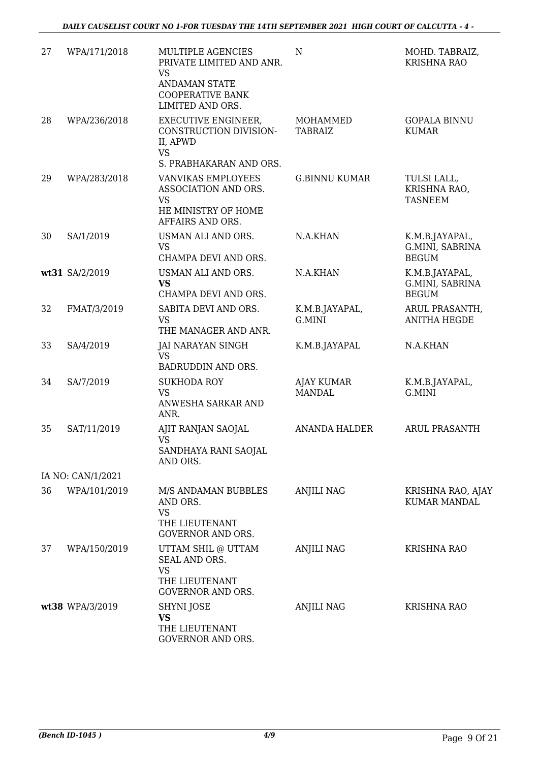| 27 | WPA/171/2018      | MULTIPLE AGENCIES<br>PRIVATE LIMITED AND ANR.<br><b>VS</b><br><b>ANDAMAN STATE</b><br><b>COOPERATIVE BANK</b><br>LIMITED AND ORS. | N                                  | MOHD. TABRAIZ,<br><b>KRISHNA RAO</b>              |
|----|-------------------|-----------------------------------------------------------------------------------------------------------------------------------|------------------------------------|---------------------------------------------------|
| 28 | WPA/236/2018      | EXECUTIVE ENGINEER,<br>CONSTRUCTION DIVISION-<br>II, APWD<br><b>VS</b>                                                            | MOHAMMED<br><b>TABRAIZ</b>         | <b>GOPALA BINNU</b><br><b>KUMAR</b>               |
|    |                   | S. PRABHAKARAN AND ORS.                                                                                                           |                                    |                                                   |
| 29 | WPA/283/2018      | <b>VANVIKAS EMPLOYEES</b><br>ASSOCIATION AND ORS.<br><b>VS</b><br>HE MINISTRY OF HOME<br>AFFAIRS AND ORS.                         | <b>G.BINNU KUMAR</b>               | TULSI LALL,<br>KRISHNA RAO,<br><b>TASNEEM</b>     |
| 30 | SA/1/2019         | USMAN ALI AND ORS.<br><b>VS</b><br>CHAMPA DEVI AND ORS.                                                                           | N.A.KHAN                           | K.M.B.JAYAPAL,<br>G.MINI, SABRINA<br><b>BEGUM</b> |
|    | wt31 SA/2/2019    | USMAN ALI AND ORS.<br><b>VS</b><br>CHAMPA DEVI AND ORS.                                                                           | N.A.KHAN                           | K.M.B.JAYAPAL,<br>G.MINI, SABRINA<br><b>BEGUM</b> |
| 32 | FMAT/3/2019       | SABITA DEVI AND ORS.<br><b>VS</b><br>THE MANAGER AND ANR.                                                                         | K.M.B.JAYAPAL,<br>G.MINI           | ARUL PRASANTH,<br><b>ANITHA HEGDE</b>             |
| 33 | SA/4/2019         | JAI NARAYAN SINGH<br><b>VS</b>                                                                                                    | K.M.B.JAYAPAL                      | N.A.KHAN                                          |
| 34 | SA/7/2019         | BADRUDDIN AND ORS.<br><b>SUKHODA ROY</b><br><b>VS</b><br>ANWESHA SARKAR AND<br>ANR.                                               | <b>AJAY KUMAR</b><br><b>MANDAL</b> | K.M.B.JAYAPAL,<br>G.MINI                          |
| 35 | SAT/11/2019       | AJIT RANJAN SAOJAL<br><b>VS</b><br>SANDHAYA RANI SAOJAL<br>AND ORS.                                                               | <b>ANANDA HALDER</b>               | <b>ARUL PRASANTH</b>                              |
|    | IA NO: CAN/1/2021 |                                                                                                                                   |                                    |                                                   |
| 36 | WPA/101/2019      | M/S ANDAMAN BUBBLES<br>AND ORS.<br><b>VS</b><br>THE LIEUTENANT<br><b>GOVERNOR AND ORS.</b>                                        | <b>ANJILI NAG</b>                  | KRISHNA RAO, AJAY<br><b>KUMAR MANDAL</b>          |
| 37 | WPA/150/2019      | UTTAM SHIL @ UTTAM<br>SEAL AND ORS.<br><b>VS</b><br>THE LIEUTENANT<br><b>GOVERNOR AND ORS.</b>                                    | <b>ANJILI NAG</b>                  | <b>KRISHNA RAO</b>                                |
|    | wt38 WPA/3/2019   | SHYNI JOSE<br><b>VS</b><br>THE LIEUTENANT<br>GOVERNOR AND ORS.                                                                    | ANJILI NAG                         | <b>KRISHNA RAO</b>                                |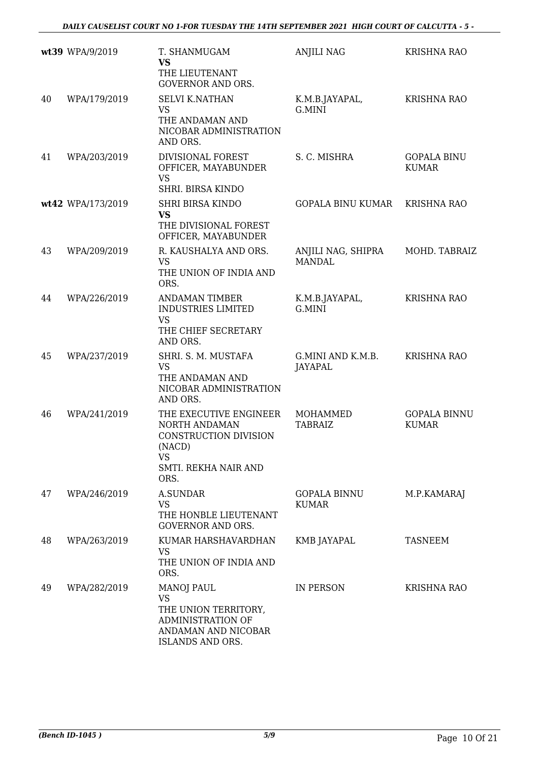|    | wt39 WPA/9/2019   | T. SHANMUGAM<br>VS                                                                                                      | <b>ANJILI NAG</b>                   | <b>KRISHNA RAO</b>                  |
|----|-------------------|-------------------------------------------------------------------------------------------------------------------------|-------------------------------------|-------------------------------------|
|    |                   | THE LIEUTENANT<br><b>GOVERNOR AND ORS.</b>                                                                              |                                     |                                     |
| 40 | WPA/179/2019      | <b>SELVI K.NATHAN</b><br><b>VS</b><br>THE ANDAMAN AND<br>NICOBAR ADMINISTRATION<br>AND ORS.                             | K.M.B.JAYAPAL,<br>G.MINI            | <b>KRISHNA RAO</b>                  |
| 41 | WPA/203/2019      | <b>DIVISIONAL FOREST</b><br>OFFICER, MAYABUNDER<br><b>VS</b><br>SHRI. BIRSA KINDO                                       | S. C. MISHRA                        | <b>GOPALA BINU</b><br><b>KUMAR</b>  |
|    | wt42 WPA/173/2019 | <b>SHRI BIRSA KINDO</b><br><b>VS</b><br>THE DIVISIONAL FOREST<br>OFFICER, MAYABUNDER                                    | <b>GOPALA BINU KUMAR</b>            | <b>KRISHNA RAO</b>                  |
| 43 | WPA/209/2019      | R. KAUSHALYA AND ORS.<br><b>VS</b><br>THE UNION OF INDIA AND<br>ORS.                                                    | ANJILI NAG, SHIPRA<br><b>MANDAL</b> | MOHD. TABRAIZ                       |
| 44 | WPA/226/2019      | <b>ANDAMAN TIMBER</b><br><b>INDUSTRIES LIMITED</b><br><b>VS</b><br>THE CHIEF SECRETARY<br>AND ORS.                      | K.M.B.JAYAPAL,<br>G.MINI            | <b>KRISHNA RAO</b>                  |
| 45 | WPA/237/2019      | SHRI. S. M. MUSTAFA<br><b>VS</b><br>THE ANDAMAN AND<br>NICOBAR ADMINISTRATION<br>AND ORS.                               | G.MINI AND K.M.B.<br>JAYAPAL        | <b>KRISHNA RAO</b>                  |
| 46 | WPA/241/2019      | THE EXECUTIVE ENGINEER<br>NORTH ANDAMAN<br>CONSTRUCTION DIVISION<br>(NACD)<br><b>VS</b><br>SMTI. REKHA NAIR AND<br>ORS. | MOHAMMED<br><b>TABRAIZ</b>          | <b>GOPALA BINNU</b><br><b>KUMAR</b> |
| 47 | WPA/246/2019      | <b>A.SUNDAR</b><br><b>VS</b><br>THE HONBLE LIEUTENANT<br><b>GOVERNOR AND ORS.</b>                                       | <b>GOPALA BINNU</b><br><b>KUMAR</b> | M.P.KAMARAJ                         |
| 48 | WPA/263/2019      | KUMAR HARSHAVARDHAN<br>VS.<br>THE UNION OF INDIA AND<br>ORS.                                                            | KMB JAYAPAL                         | TASNEEM                             |
| 49 | WPA/282/2019      | <b>MANOJ PAUL</b><br><b>VS</b><br>THE UNION TERRITORY,<br>ADMINISTRATION OF<br>ANDAMAN AND NICOBAR<br>ISLANDS AND ORS.  | IN PERSON                           | <b>KRISHNA RAO</b>                  |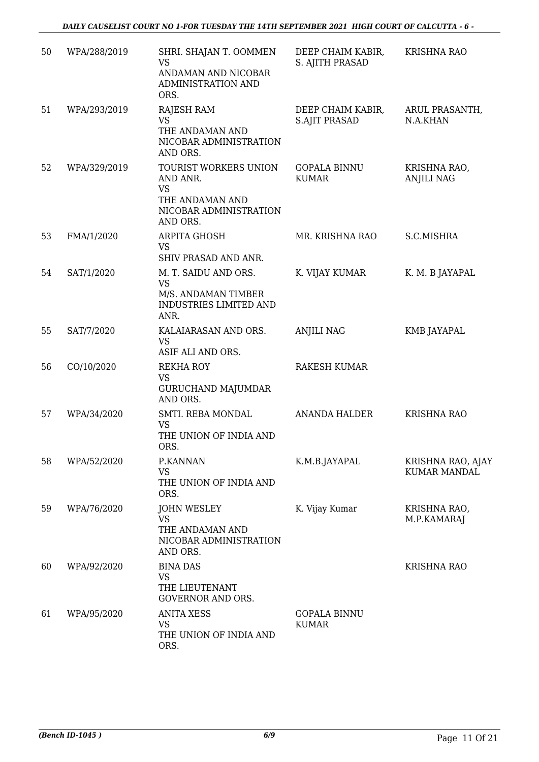| 50 | WPA/288/2019 | SHRI. SHAJAN T. OOMMEN<br><b>VS</b><br>ANDAMAN AND NICOBAR<br>ADMINISTRATION AND<br>ORS.                | DEEP CHAIM KABIR,<br>S. AJITH PRASAD      | <b>KRISHNA RAO</b>                       |
|----|--------------|---------------------------------------------------------------------------------------------------------|-------------------------------------------|------------------------------------------|
| 51 | WPA/293/2019 | RAJESH RAM<br><b>VS</b><br>THE ANDAMAN AND<br>NICOBAR ADMINISTRATION<br>AND ORS.                        | DEEP CHAIM KABIR,<br><b>S.AJIT PRASAD</b> | ARUL PRASANTH,<br>N.A.KHAN               |
| 52 | WPA/329/2019 | TOURIST WORKERS UNION<br>AND ANR.<br><b>VS</b><br>THE ANDAMAN AND<br>NICOBAR ADMINISTRATION<br>AND ORS. | <b>GOPALA BINNU</b><br><b>KUMAR</b>       | KRISHNA RAO,<br><b>ANJILI NAG</b>        |
| 53 | FMA/1/2020   | ARPITA GHOSH<br><b>VS</b><br>SHIV PRASAD AND ANR.                                                       | MR. KRISHNA RAO                           | S.C.MISHRA                               |
| 54 | SAT/1/2020   | M. T. SAIDU AND ORS.<br><b>VS</b><br>M/S. ANDAMAN TIMBER<br><b>INDUSTRIES LIMITED AND</b><br>ANR.       | K. VIJAY KUMAR                            | K. M. B JAYAPAL                          |
| 55 | SAT/7/2020   | KALAIARASAN AND ORS.<br><b>VS</b><br>ASIF ALI AND ORS.                                                  | <b>ANJILI NAG</b>                         | KMB JAYAPAL                              |
| 56 | CO/10/2020   | <b>REKHA ROY</b><br><b>VS</b><br><b>GURUCHAND MAJUMDAR</b><br>AND ORS.                                  | <b>RAKESH KUMAR</b>                       |                                          |
| 57 | WPA/34/2020  | SMTI. REBA MONDAL<br><b>VS</b><br>THE UNION OF INDIA AND<br>ORS.                                        | <b>ANANDA HALDER</b>                      | <b>KRISHNA RAO</b>                       |
| 58 | WPA/52/2020  | P.KANNAN<br><b>VS</b><br>THE UNION OF INDIA AND<br>ORS.                                                 | K.M.B.JAYAPAL                             | KRISHNA RAO, AJAY<br><b>KUMAR MANDAL</b> |
| 59 | WPA/76/2020  | <b>JOHN WESLEY</b><br><b>VS</b><br>THE ANDAMAN AND<br>NICOBAR ADMINISTRATION<br>AND ORS.                | K. Vijay Kumar                            | KRISHNA RAO,<br>M.P.KAMARAJ              |
| 60 | WPA/92/2020  | <b>BINA DAS</b><br><b>VS</b><br>THE LIEUTENANT<br><b>GOVERNOR AND ORS.</b>                              |                                           | <b>KRISHNA RAO</b>                       |
| 61 | WPA/95/2020  | <b>ANITA XESS</b><br>VS<br>THE UNION OF INDIA AND<br>ORS.                                               | <b>GOPALA BINNU</b><br><b>KUMAR</b>       |                                          |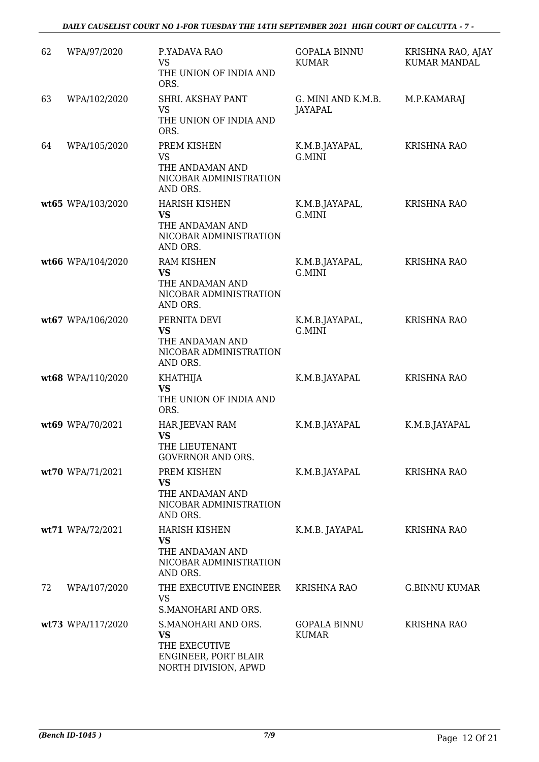| 62 | WPA/97/2020       | P.YADAVA RAO<br><b>VS</b><br>THE UNION OF INDIA AND<br>ORS.                                       | <b>GOPALA BINNU</b><br><b>KUMAR</b> | KRISHNA RAO, AJAY<br><b>KUMAR MANDAL</b> |
|----|-------------------|---------------------------------------------------------------------------------------------------|-------------------------------------|------------------------------------------|
| 63 | WPA/102/2020      | SHRI. AKSHAY PANT<br><b>VS</b><br>THE UNION OF INDIA AND<br>ORS.                                  | G. MINI AND K.M.B.<br>JAYAPAL       | M.P.KAMARAJ                              |
| 64 | WPA/105/2020      | PREM KISHEN<br>VS<br>THE ANDAMAN AND<br>NICOBAR ADMINISTRATION<br>AND ORS.                        | K.M.B.JAYAPAL,<br>G.MINI            | <b>KRISHNA RAO</b>                       |
|    | wt65 WPA/103/2020 | <b>HARISH KISHEN</b><br><b>VS</b><br>THE ANDAMAN AND<br>NICOBAR ADMINISTRATION<br>AND ORS.        | K.M.B.JAYAPAL,<br>G.MINI            | <b>KRISHNA RAO</b>                       |
|    | wt66 WPA/104/2020 | <b>RAM KISHEN</b><br><b>VS</b><br>THE ANDAMAN AND<br>NICOBAR ADMINISTRATION<br>AND ORS.           | K.M.B.JAYAPAL,<br>G.MINI            | <b>KRISHNA RAO</b>                       |
|    | wt67 WPA/106/2020 | PERNITA DEVI<br><b>VS</b><br>THE ANDAMAN AND<br>NICOBAR ADMINISTRATION<br>AND ORS.                | K.M.B.JAYAPAL,<br>G.MINI            | KRISHNA RAO                              |
|    | wt68 WPA/110/2020 | <b>KHATHIJA</b><br><b>VS</b><br>THE UNION OF INDIA AND<br>ORS.                                    | K.M.B.JAYAPAL                       | <b>KRISHNA RAO</b>                       |
|    | wt69 WPA/70/2021  | HAR JEEVAN RAM<br><b>VS</b><br>THE LIEUTENANT<br><b>GOVERNOR AND ORS.</b>                         | K.M.B.JAYAPAL                       | K.M.B.JAYAPAL                            |
|    | wt70 WPA/71/2021  | PREM KISHEN<br><b>VS</b><br>THE ANDAMAN AND<br>NICOBAR ADMINISTRATION<br>AND ORS.                 | K.M.B.JAYAPAL                       | <b>KRISHNA RAO</b>                       |
|    | wt71 WPA/72/2021  | <b>HARISH KISHEN</b><br><b>VS</b><br>THE ANDAMAN AND<br>NICOBAR ADMINISTRATION<br>AND ORS.        | K.M.B. JAYAPAL                      | <b>KRISHNA RAO</b>                       |
| 72 | WPA/107/2020      | THE EXECUTIVE ENGINEER<br><b>VS</b><br>S.MANOHARI AND ORS.                                        | <b>KRISHNA RAO</b>                  | <b>G.BINNU KUMAR</b>                     |
|    | wt73 WPA/117/2020 | S.MANOHARI AND ORS.<br><b>VS</b><br>THE EXECUTIVE<br>ENGINEER, PORT BLAIR<br>NORTH DIVISION, APWD | <b>GOPALA BINNU</b><br><b>KUMAR</b> | <b>KRISHNA RAO</b>                       |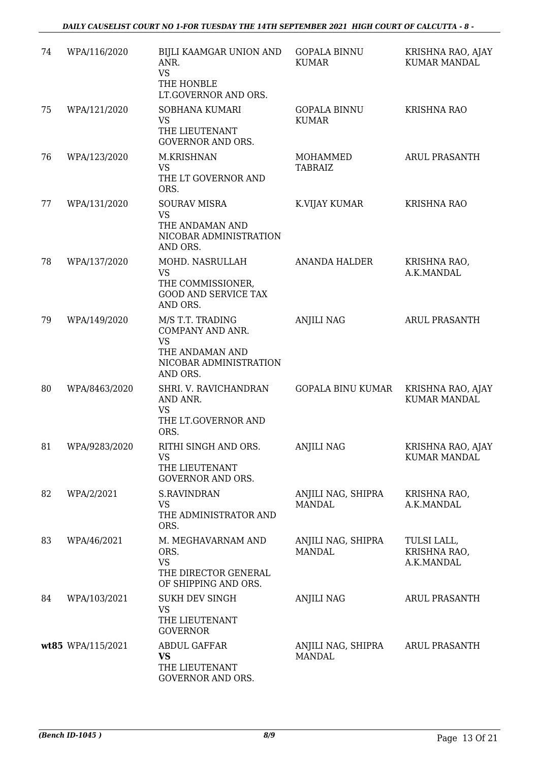#### *DAILY CAUSELIST COURT NO 1-FOR TUESDAY THE 14TH SEPTEMBER 2021 HIGH COURT OF CALCUTTA - 8 -*

| 74 | WPA/116/2020      | BIJLI KAAMGAR UNION AND<br>ANR.<br><b>VS</b><br>THE HONBLE<br>LT.GOVERNOR AND ORS.                         | <b>GOPALA BINNU</b><br><b>KUMAR</b> | KRISHNA RAO, AJAY<br><b>KUMAR MANDAL</b>  |
|----|-------------------|------------------------------------------------------------------------------------------------------------|-------------------------------------|-------------------------------------------|
| 75 | WPA/121/2020      | SOBHANA KUMARI<br><b>VS</b><br>THE LIEUTENANT<br><b>GOVERNOR AND ORS.</b>                                  | <b>GOPALA BINNU</b><br><b>KUMAR</b> | <b>KRISHNA RAO</b>                        |
| 76 | WPA/123/2020      | M.KRISHNAN<br><b>VS</b><br>THE LT GOVERNOR AND<br>ORS.                                                     | MOHAMMED<br><b>TABRAIZ</b>          | <b>ARUL PRASANTH</b>                      |
| 77 | WPA/131/2020      | <b>SOURAV MISRA</b><br><b>VS</b><br>THE ANDAMAN AND<br>NICOBAR ADMINISTRATION<br>AND ORS.                  | K.VIJAY KUMAR                       | <b>KRISHNA RAO</b>                        |
| 78 | WPA/137/2020      | MOHD. NASRULLAH<br><b>VS</b><br>THE COMMISSIONER,<br><b>GOOD AND SERVICE TAX</b><br>AND ORS.               | <b>ANANDA HALDER</b>                | KRISHNA RAO,<br>A.K.MANDAL                |
| 79 | WPA/149/2020      | M/S T.T. TRADING<br>COMPANY AND ANR.<br><b>VS</b><br>THE ANDAMAN AND<br>NICOBAR ADMINISTRATION<br>AND ORS. | <b>ANJILI NAG</b>                   | ARUL PRASANTH                             |
| 80 | WPA/8463/2020     | SHRI. V. RAVICHANDRAN<br>AND ANR.<br><b>VS</b><br>THE LT.GOVERNOR AND<br>ORS.                              | GOPALA BINU KUMAR                   | KRISHNA RAO, AJAY<br><b>KUMAR MANDAL</b>  |
| 81 | WPA/9283/2020     | RITHI SINGH AND ORS.<br><b>VS</b><br>THE LIEUTENANT<br><b>GOVERNOR AND ORS.</b>                            | <b>ANJILI NAG</b>                   | KRISHNA RAO, AJAY<br><b>KUMAR MANDAL</b>  |
| 82 | WPA/2/2021        | <b>S.RAVINDRAN</b><br>VS<br>THE ADMINISTRATOR AND<br>ORS.                                                  | ANJILI NAG, SHIPRA<br><b>MANDAL</b> | KRISHNA RAO,<br>A.K.MANDAL                |
| 83 | WPA/46/2021       | M. MEGHAVARNAM AND<br>ORS.<br><b>VS</b><br>THE DIRECTOR GENERAL<br>OF SHIPPING AND ORS.                    | ANJILI NAG, SHIPRA<br><b>MANDAL</b> | TULSI LALL,<br>KRISHNA RAO,<br>A.K.MANDAL |
| 84 | WPA/103/2021      | <b>SUKH DEV SINGH</b><br><b>VS</b><br>THE LIEUTENANT<br><b>GOVERNOR</b>                                    | ANJILI NAG                          | <b>ARUL PRASANTH</b>                      |
|    | wt85 WPA/115/2021 | <b>ABDUL GAFFAR</b><br>VS<br>THE LIEUTENANT<br>GOVERNOR AND ORS.                                           | ANJILI NAG, SHIPRA<br><b>MANDAL</b> | <b>ARUL PRASANTH</b>                      |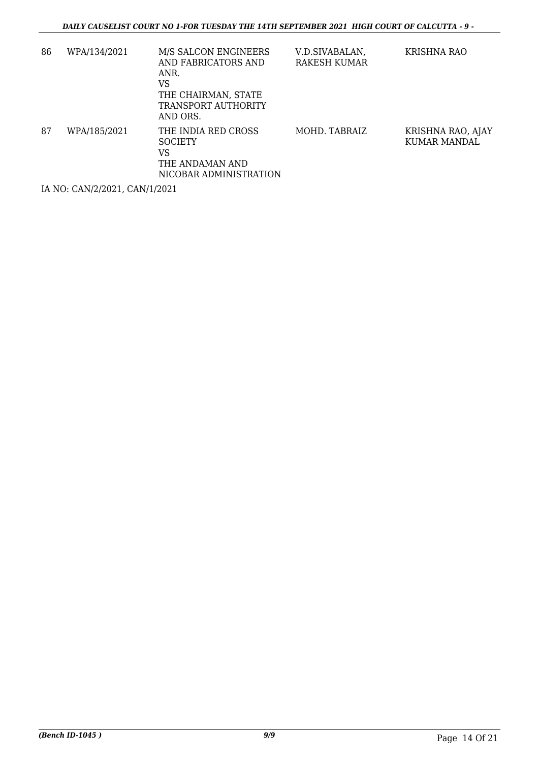| 86 | WPA/134/2021 | M/S SALCON ENGINEERS<br>AND FABRICATORS AND<br>ANR.<br>VS<br>THE CHAIRMAN, STATE<br>TRANSPORT AUTHORITY<br>AND ORS. | V.D.SIVABALAN,<br>RAKESH KUMAR | KRISHNA RAO                       |
|----|--------------|---------------------------------------------------------------------------------------------------------------------|--------------------------------|-----------------------------------|
| 87 | WPA/185/2021 | THE INDIA RED CROSS<br><b>SOCIETY</b><br>VS<br>THE ANDAMAN AND<br>NICOBAR ADMINISTRATION                            | MOHD. TABRAIZ                  | KRISHNA RAO, AJAY<br>KUMAR MANDAL |

IA NO: CAN/2/2021, CAN/1/2021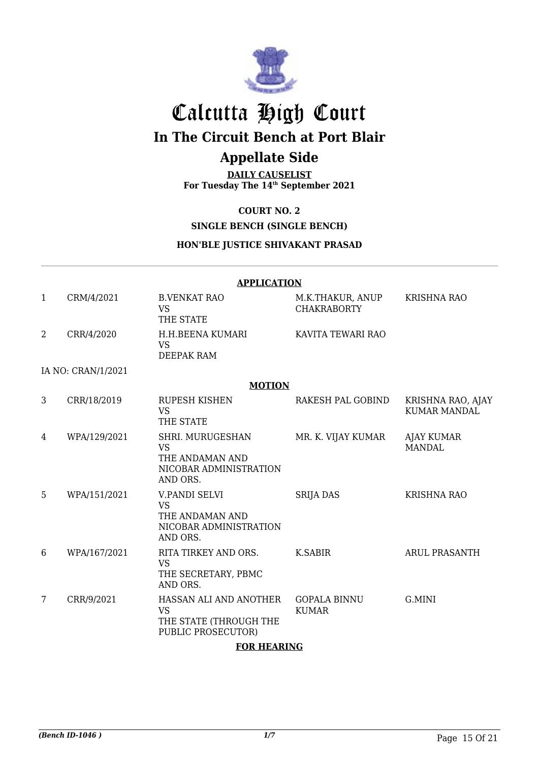

# Calcutta High Court **In The Circuit Bench at Port Blair**

# **Appellate Side**

**DAILY CAUSELIST For Tuesday The 14th September 2021**

## **COURT NO. 2**

## **SINGLE BENCH (SINGLE BENCH)**

### **HON'BLE JUSTICE SHIVAKANT PRASAD**

|                | <b>APPLICATION</b> |                                                                                        |                                        |                                          |  |  |  |
|----------------|--------------------|----------------------------------------------------------------------------------------|----------------------------------------|------------------------------------------|--|--|--|
| $\mathbf{1}$   | CRM/4/2021         | <b>B.VENKAT RAO</b><br><b>VS</b><br>THE STATE                                          | M.K.THAKUR, ANUP<br><b>CHAKRABORTY</b> | <b>KRISHNA RAO</b>                       |  |  |  |
| $\overline{2}$ | CRR/4/2020         | H.H.BEENA KUMARI<br><b>VS</b><br>DEEPAK RAM                                            | KAVITA TEWARI RAO                      |                                          |  |  |  |
|                | IA NO: CRAN/1/2021 |                                                                                        |                                        |                                          |  |  |  |
|                |                    | <b>MOTION</b>                                                                          |                                        |                                          |  |  |  |
| 3              | CRR/18/2019        | <b>RUPESH KISHEN</b><br><b>VS</b><br>THE STATE                                         | RAKESH PAL GOBIND                      | KRISHNA RAO, AJAY<br><b>KUMAR MANDAL</b> |  |  |  |
| 4              | WPA/129/2021       | SHRI. MURUGESHAN<br><b>VS</b><br>THE ANDAMAN AND<br>NICOBAR ADMINISTRATION<br>AND ORS. | MR. K. VIJAY KUMAR                     | <b>AJAY KUMAR</b><br><b>MANDAL</b>       |  |  |  |
| 5              | WPA/151/2021       | V.PANDI SELVI<br><b>VS</b><br>THE ANDAMAN AND<br>NICOBAR ADMINISTRATION<br>AND ORS.    | <b>SRIJA DAS</b>                       | <b>KRISHNA RAO</b>                       |  |  |  |
| 6              | WPA/167/2021       | RITA TIRKEY AND ORS.<br><b>VS</b><br>THE SECRETARY, PBMC<br>AND ORS.                   | <b>K.SABIR</b>                         | <b>ARUL PRASANTH</b>                     |  |  |  |
| 7              | CRR/9/2021         | HASSAN ALI AND ANOTHER<br><b>VS</b><br>THE STATE (THROUGH THE<br>PUBLIC PROSECUTOR)    | <b>GOPALA BINNU</b><br><b>KUMAR</b>    | G.MINI                                   |  |  |  |

### **FOR HEARING**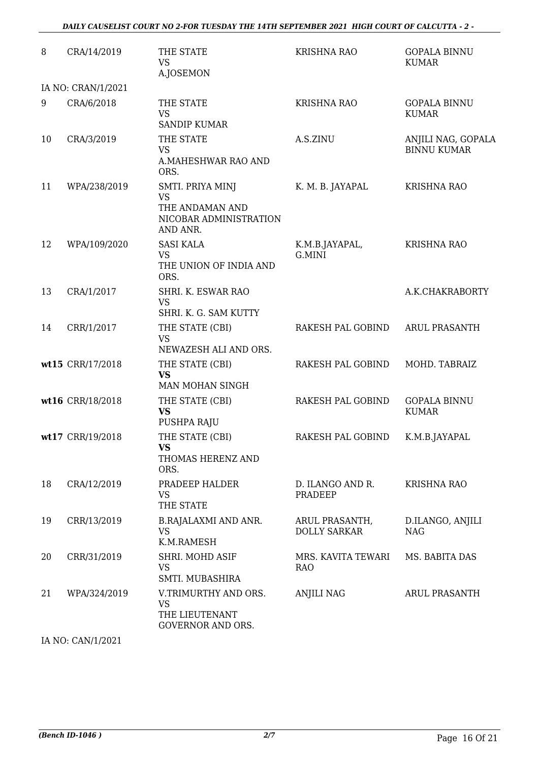#### *DAILY CAUSELIST COURT NO 2-FOR TUESDAY THE 14TH SEPTEMBER 2021 HIGH COURT OF CALCUTTA - 2 -*

| 8  | CRA/14/2019        | THE STATE<br><b>VS</b><br>A.JOSEMON                                             | <b>KRISHNA RAO</b>                    | <b>GOPALA BINNU</b><br><b>KUMAR</b>      |
|----|--------------------|---------------------------------------------------------------------------------|---------------------------------------|------------------------------------------|
|    | IA NO: CRAN/1/2021 |                                                                                 |                                       |                                          |
| 9  | CRA/6/2018         | THE STATE<br><b>VS</b><br><b>SANDIP KUMAR</b>                                   | <b>KRISHNA RAO</b>                    | <b>GOPALA BINNU</b><br><b>KUMAR</b>      |
| 10 | CRA/3/2019         | THE STATE<br><b>VS</b><br>A.MAHESHWAR RAO AND<br>ORS.                           | A.S.ZINU                              | ANJILI NAG, GOPALA<br><b>BINNU KUMAR</b> |
| 11 | WPA/238/2019       | SMTI. PRIYA MINJ<br>VS<br>THE ANDAMAN AND<br>NICOBAR ADMINISTRATION<br>AND ANR. | K. M. B. JAYAPAL                      | <b>KRISHNA RAO</b>                       |
| 12 | WPA/109/2020       | <b>SASI KALA</b><br><b>VS</b><br>THE UNION OF INDIA AND<br>ORS.                 | K.M.B.JAYAPAL,<br>G.MINI              | <b>KRISHNA RAO</b>                       |
| 13 | CRA/1/2017         | SHRI. K. ESWAR RAO<br><b>VS</b><br>SHRI. K. G. SAM KUTTY                        |                                       | A.K.CHAKRABORTY                          |
| 14 | CRR/1/2017         | THE STATE (CBI)<br><b>VS</b><br>NEWAZESH ALI AND ORS.                           | RAKESH PAL GOBIND                     | <b>ARUL PRASANTH</b>                     |
|    | wt15 CRR/17/2018   | THE STATE (CBI)<br><b>VS</b><br>MAN MOHAN SINGH                                 | RAKESH PAL GOBIND                     | MOHD. TABRAIZ                            |
|    | wt16 CRR/18/2018   | THE STATE (CBI)<br><b>VS</b><br>PUSHPA RAJU                                     | RAKESH PAL GOBIND                     | <b>GOPALA BINNU</b><br><b>KUMAR</b>      |
|    | wt17 CRR/19/2018   | THE STATE (CBI)<br><b>VS</b><br>THOMAS HERENZ AND<br>ORS.                       | RAKESH PAL GOBIND                     | K.M.B.JAYAPAL                            |
| 18 | CRA/12/2019        | PRADEEP HALDER<br><b>VS</b><br>THE STATE                                        | D. ILANGO AND R.<br><b>PRADEEP</b>    | <b>KRISHNA RAO</b>                       |
| 19 | CRR/13/2019        | <b>B.RAJALAXMI AND ANR.</b><br><b>VS</b><br>K.M.RAMESH                          | ARUL PRASANTH,<br><b>DOLLY SARKAR</b> | D.ILANGO, ANJILI<br><b>NAG</b>           |
| 20 | CRR/31/2019        | SHRI. MOHD ASIF<br><b>VS</b><br>SMTI. MUBASHIRA                                 | MRS. KAVITA TEWARI<br>RAO             | MS. BABITA DAS                           |
| 21 | WPA/324/2019       | V.TRIMURTHY AND ORS.<br>VS<br>THE LIEUTENANT<br>GOVERNOR AND ORS.               | ANJILI NAG                            | <b>ARUL PRASANTH</b>                     |

IA NO: CAN/1/2021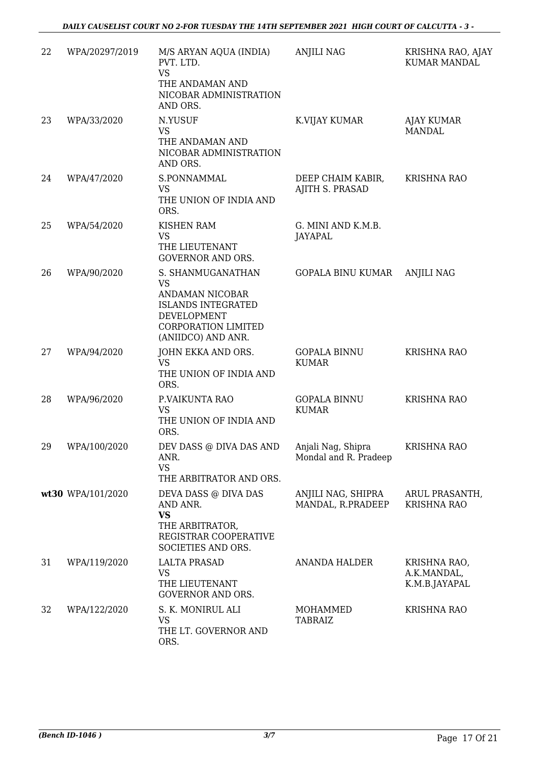| 22 | WPA/20297/2019    | M/S ARYAN AQUA (INDIA)<br>PVT. LTD.<br><b>VS</b><br>THE ANDAMAN AND<br>NICOBAR ADMINISTRATION<br>AND ORS.                                         | <b>ANJILI NAG</b>                           | KRISHNA RAO, AJAY<br><b>KUMAR MANDAL</b>     |
|----|-------------------|---------------------------------------------------------------------------------------------------------------------------------------------------|---------------------------------------------|----------------------------------------------|
| 23 | WPA/33/2020       | N.YUSUF<br><b>VS</b><br>THE ANDAMAN AND<br>NICOBAR ADMINISTRATION<br>AND ORS.                                                                     | K.VIJAY KUMAR                               | <b>AJAY KUMAR</b><br>MANDAL                  |
| 24 | WPA/47/2020       | S.PONNAMMAL<br><b>VS</b><br>THE UNION OF INDIA AND<br>ORS.                                                                                        | DEEP CHAIM KABIR,<br>AJITH S. PRASAD        | <b>KRISHNA RAO</b>                           |
| 25 | WPA/54/2020       | <b>KISHEN RAM</b><br><b>VS</b><br>THE LIEUTENANT<br><b>GOVERNOR AND ORS.</b>                                                                      | G. MINI AND K.M.B.<br><b>JAYAPAL</b>        |                                              |
| 26 | WPA/90/2020       | S. SHANMUGANATHAN<br><b>VS</b><br>ANDAMAN NICOBAR<br><b>ISLANDS INTEGRATED</b><br>DEVELOPMENT<br><b>CORPORATION LIMITED</b><br>(ANIIDCO) AND ANR. | GOPALA BINU KUMAR                           | <b>ANJILI NAG</b>                            |
| 27 | WPA/94/2020       | JOHN EKKA AND ORS.<br><b>VS</b><br>THE UNION OF INDIA AND<br>ORS.                                                                                 | <b>GOPALA BINNU</b><br><b>KUMAR</b>         | <b>KRISHNA RAO</b>                           |
| 28 | WPA/96/2020       | P.VAIKUNTA RAO<br><b>VS</b><br>THE UNION OF INDIA AND<br>ORS.                                                                                     | <b>GOPALA BINNU</b><br><b>KUMAR</b>         | <b>KRISHNA RAO</b>                           |
| 29 | WPA/100/2020      | DEV DASS @ DIVA DAS AND<br>ANR.<br><b>VS</b><br>THE ARBITRATOR AND ORS.                                                                           | Anjali Nag, Shipra<br>Mondal and R. Pradeep | <b>KRISHNA RAO</b>                           |
|    | wt30 WPA/101/2020 | DEVA DASS @ DIVA DAS<br>AND ANR.<br><b>VS</b><br>THE ARBITRATOR,<br>REGISTRAR COOPERATIVE<br>SOCIETIES AND ORS.                                   | ANJILI NAG, SHIPRA<br>MANDAL, R.PRADEEP     | ARUL PRASANTH,<br><b>KRISHNA RAO</b>         |
| 31 | WPA/119/2020      | <b>LALTA PRASAD</b><br><b>VS</b><br>THE LIEUTENANT<br><b>GOVERNOR AND ORS.</b>                                                                    | <b>ANANDA HALDER</b>                        | KRISHNA RAO,<br>A.K.MANDAL,<br>K.M.B.JAYAPAL |
| 32 | WPA/122/2020      | S. K. MONIRUL ALI<br>VS<br>THE LT. GOVERNOR AND<br>ORS.                                                                                           | MOHAMMED<br><b>TABRAIZ</b>                  | <b>KRISHNA RAO</b>                           |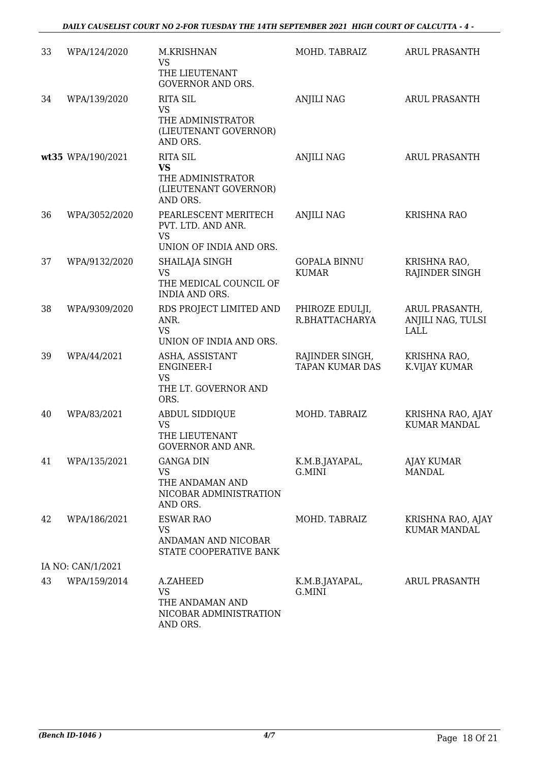| 33 | WPA/124/2020      | M.KRISHNAN<br><b>VS</b>                                                                | MOHD. TABRAIZ                             | <b>ARUL PRASANTH</b>                        |
|----|-------------------|----------------------------------------------------------------------------------------|-------------------------------------------|---------------------------------------------|
|    |                   | THE LIEUTENANT<br><b>GOVERNOR AND ORS.</b>                                             |                                           |                                             |
| 34 | WPA/139/2020      | <b>RITA SIL</b><br><b>VS</b>                                                           | <b>ANJILI NAG</b>                         | <b>ARUL PRASANTH</b>                        |
|    |                   | THE ADMINISTRATOR<br>(LIEUTENANT GOVERNOR)<br>AND ORS.                                 |                                           |                                             |
|    | wt35 WPA/190/2021 | <b>RITA SIL</b><br><b>VS</b><br>THE ADMINISTRATOR<br>(LIEUTENANT GOVERNOR)<br>AND ORS. | <b>ANJILI NAG</b>                         | <b>ARUL PRASANTH</b>                        |
| 36 | WPA/3052/2020     | PEARLESCENT MERITECH<br>PVT. LTD. AND ANR.<br><b>VS</b>                                | <b>ANJILI NAG</b>                         | <b>KRISHNA RAO</b>                          |
|    |                   | UNION OF INDIA AND ORS.                                                                |                                           |                                             |
| 37 | WPA/9132/2020     | SHAILAJA SINGH<br>VS                                                                   | <b>GOPALA BINNU</b><br><b>KUMAR</b>       | KRISHNA RAO,<br>RAJINDER SINGH              |
|    |                   | THE MEDICAL COUNCIL OF<br><b>INDIA AND ORS.</b>                                        |                                           |                                             |
| 38 | WPA/9309/2020     | RDS PROJECT LIMITED AND<br>ANR.<br><b>VS</b>                                           | PHIROZE EDULJI,<br>R.BHATTACHARYA         | ARUL PRASANTH,<br>ANJILI NAG, TULSI<br>LALL |
|    |                   | UNION OF INDIA AND ORS.                                                                |                                           |                                             |
| 39 | WPA/44/2021       | ASHA, ASSISTANT<br>ENGINEER-I<br><b>VS</b><br>THE LT. GOVERNOR AND<br>ORS.             | RAJINDER SINGH,<br><b>TAPAN KUMAR DAS</b> | KRISHNA RAO,<br>K.VIJAY KUMAR               |
| 40 | WPA/83/2021       | ABDUL SIDDIQUE<br>VS<br>THE LIEUTENANT<br><b>GOVERNOR AND ANR.</b>                     | MOHD. TABRAIZ                             | KRISHNA RAO, AJAY<br><b>KUMAR MANDAL</b>    |
| 41 | WPA/135/2021      | <b>GANGA DIN</b><br><b>VS</b><br>THE ANDAMAN AND<br>NICOBAR ADMINISTRATION<br>AND ORS. | K.M.B.JAYAPAL,<br>G.MINI                  | <b>AJAY KUMAR</b><br><b>MANDAL</b>          |
| 42 | WPA/186/2021      | <b>ESWAR RAO</b><br><b>VS</b><br>ANDAMAN AND NICOBAR<br>STATE COOPERATIVE BANK         | MOHD. TABRAIZ                             | KRISHNA RAO, AJAY<br><b>KUMAR MANDAL</b>    |
|    | IA NO: CAN/1/2021 |                                                                                        |                                           |                                             |
| 43 | WPA/159/2014      | A.ZAHEED<br><b>VS</b><br>THE ANDAMAN AND<br>NICOBAR ADMINISTRATION<br>AND ORS.         | K.M.B.JAYAPAL,<br>G.MINI                  | <b>ARUL PRASANTH</b>                        |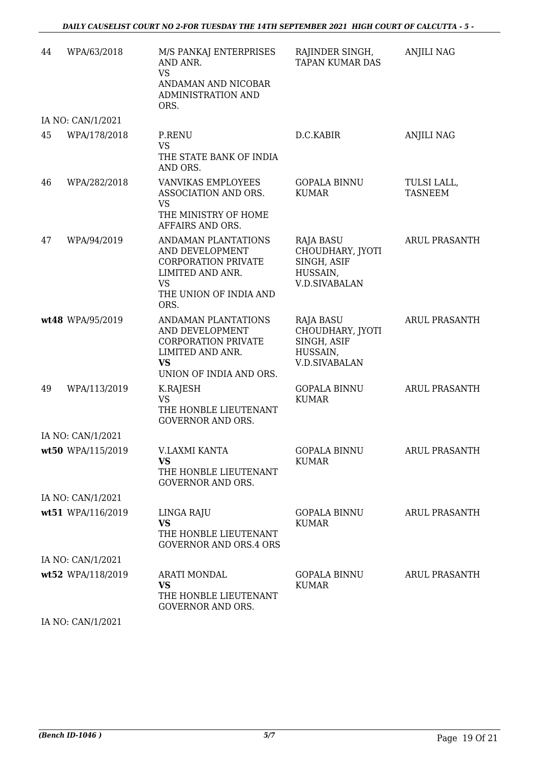| 44 | WPA/63/2018       | M/S PANKAJ ENTERPRISES<br>AND ANR.<br><b>VS</b><br>ANDAMAN AND NICOBAR<br><b>ADMINISTRATION AND</b>                                     | RAJINDER SINGH,<br><b>TAPAN KUMAR DAS</b>                                               | <b>ANJILI NAG</b>             |
|----|-------------------|-----------------------------------------------------------------------------------------------------------------------------------------|-----------------------------------------------------------------------------------------|-------------------------------|
|    |                   | ORS.                                                                                                                                    |                                                                                         |                               |
| 45 | IA NO: CAN/1/2021 |                                                                                                                                         |                                                                                         |                               |
|    | WPA/178/2018      | P.RENU<br><b>VS</b><br>THE STATE BANK OF INDIA<br>AND ORS.                                                                              | D.C.KABIR                                                                               | <b>ANJILI NAG</b>             |
| 46 | WPA/282/2018      | <b>VANVIKAS EMPLOYEES</b><br>ASSOCIATION AND ORS.<br><b>VS</b><br>THE MINISTRY OF HOME<br>AFFAIRS AND ORS.                              | <b>GOPALA BINNU</b><br><b>KUMAR</b>                                                     | TULSI LALL,<br><b>TASNEEM</b> |
| 47 | WPA/94/2019       | ANDAMAN PLANTATIONS<br>AND DEVELOPMENT<br><b>CORPORATION PRIVATE</b><br>LIMITED AND ANR.<br><b>VS</b><br>THE UNION OF INDIA AND<br>ORS. | <b>RAJA BASU</b><br>CHOUDHARY, JYOTI<br>SINGH, ASIF<br>HUSSAIN,<br><b>V.D.SIVABALAN</b> | ARUL PRASANTH                 |
|    | wt48 WPA/95/2019  | ANDAMAN PLANTATIONS<br>AND DEVELOPMENT<br><b>CORPORATION PRIVATE</b><br>LIMITED AND ANR.<br><b>VS</b><br>UNION OF INDIA AND ORS.        | RAJA BASU<br>CHOUDHARY, JYOTI<br>SINGH, ASIF<br>HUSSAIN,<br><b>V.D.SIVABALAN</b>        | ARUL PRASANTH                 |
| 49 | WPA/113/2019      | K.RAJESH<br><b>VS</b><br>THE HONBLE LIEUTENANT<br><b>GOVERNOR AND ORS.</b>                                                              | <b>GOPALA BINNU</b><br><b>KUMAR</b>                                                     | ARUL PRASANTH                 |
|    | IA NO: CAN/1/2021 |                                                                                                                                         |                                                                                         |                               |
|    | wt50 WPA/115/2019 | V.LAXMI KANTA<br><b>VS</b><br>THE HONBLE LIEUTENANT<br><b>GOVERNOR AND ORS.</b>                                                         | <b>GOPALA BINNU</b><br><b>KUMAR</b>                                                     | ARUL PRASANTH                 |
|    | IA NO: CAN/1/2021 |                                                                                                                                         |                                                                                         |                               |
|    | wt51 WPA/116/2019 | LINGA RAJU<br><b>VS</b><br>THE HONBLE LIEUTENANT<br><b>GOVERNOR AND ORS.4 ORS</b>                                                       | GOPALA BINNU<br><b>KUMAR</b>                                                            | ARUL PRASANTH                 |
|    | IA NO: CAN/1/2021 |                                                                                                                                         |                                                                                         |                               |
|    | wt52 WPA/118/2019 | ARATI MONDAL<br><b>VS</b><br>THE HONBLE LIEUTENANT<br><b>GOVERNOR AND ORS.</b>                                                          | GOPALA BINNU<br><b>KUMAR</b>                                                            | ARUL PRASANTH                 |
|    |                   |                                                                                                                                         |                                                                                         |                               |

IA NO: CAN/1/2021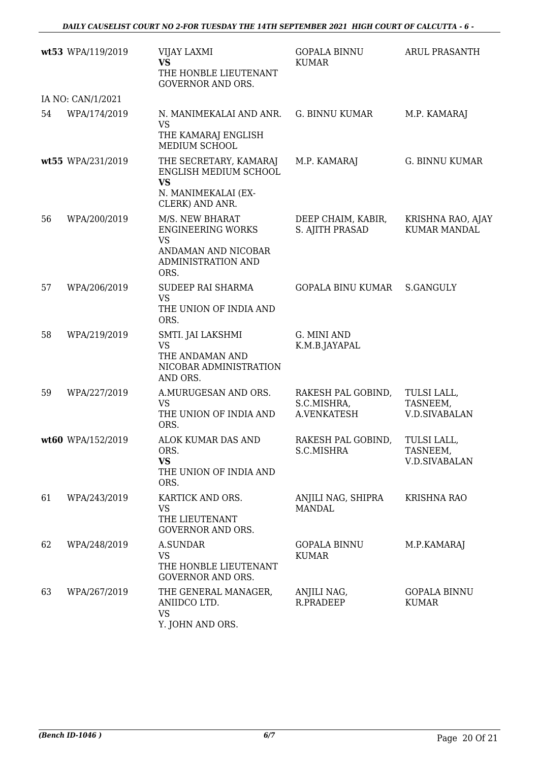|    | wt53 WPA/119/2019 | <b>VIJAY LAXMI</b><br><b>VS</b><br>THE HONBLE LIEUTENANT<br><b>GOVERNOR AND ORS.</b>                          | <b>GOPALA BINNU</b><br><b>KUMAR</b>              | <b>ARUL PRASANTH</b>                            |
|----|-------------------|---------------------------------------------------------------------------------------------------------------|--------------------------------------------------|-------------------------------------------------|
|    | IA NO: CAN/1/2021 |                                                                                                               |                                                  |                                                 |
| 54 | WPA/174/2019      | N. MANIMEKALAI AND ANR.<br><b>VS</b><br>THE KAMARAJ ENGLISH<br>MEDIUM SCHOOL                                  | G. BINNU KUMAR                                   | M.P. KAMARAJ                                    |
|    | wt55 WPA/231/2019 | THE SECRETARY, KAMARAJ<br>ENGLISH MEDIUM SCHOOL<br><b>VS</b><br>N. MANIMEKALAI (EX-<br>CLERK) AND ANR.        | M.P. KAMARAJ                                     | <b>G. BINNU KUMAR</b>                           |
| 56 | WPA/200/2019      | M/S. NEW BHARAT<br><b>ENGINEERING WORKS</b><br><b>VS</b><br>ANDAMAN AND NICOBAR<br>ADMINISTRATION AND<br>ORS. | DEEP CHAIM, KABIR,<br>S. AJITH PRASAD            | KRISHNA RAO, AJAY<br><b>KUMAR MANDAL</b>        |
| 57 | WPA/206/2019      | SUDEEP RAI SHARMA<br><b>VS</b><br>THE UNION OF INDIA AND<br>ORS.                                              | <b>GOPALA BINU KUMAR</b>                         | <b>S.GANGULY</b>                                |
| 58 | WPA/219/2019      | SMTI. JAI LAKSHMI<br><b>VS</b><br>THE ANDAMAN AND<br>NICOBAR ADMINISTRATION<br>AND ORS.                       | G. MINI AND<br>K.M.B.JAYAPAL                     |                                                 |
| 59 | WPA/227/2019      | A.MURUGESAN AND ORS.<br><b>VS</b><br>THE UNION OF INDIA AND<br>ORS.                                           | RAKESH PAL GOBIND,<br>S.C.MISHRA,<br>A.VENKATESH | TULSI LALL,<br>TASNEEM,<br><b>V.D.SIVABALAN</b> |
|    | wt60 WPA/152/2019 | ALOK KUMAR DAS AND<br>ORS.<br><b>VS</b><br>THE UNION OF INDIA AND<br>ORS.                                     | RAKESH PAL GOBIND,<br>S.C.MISHRA                 | TULSI LALL,<br>TASNEEM,<br><b>V.D.SIVABALAN</b> |
| 61 | WPA/243/2019      | KARTICK AND ORS.<br><b>VS</b><br>THE LIEUTENANT<br><b>GOVERNOR AND ORS.</b>                                   | ANJILI NAG, SHIPRA<br><b>MANDAL</b>              | <b>KRISHNA RAO</b>                              |
| 62 | WPA/248/2019      | A.SUNDAR<br><b>VS</b><br>THE HONBLE LIEUTENANT<br><b>GOVERNOR AND ORS.</b>                                    | <b>GOPALA BINNU</b><br><b>KUMAR</b>              | M.P.KAMARAJ                                     |
| 63 | WPA/267/2019      | THE GENERAL MANAGER,<br>ANIIDCO LTD.<br><b>VS</b><br>Y. JOHN AND ORS.                                         | ANJILI NAG,<br>R.PRADEEP                         | <b>GOPALA BINNU</b><br><b>KUMAR</b>             |